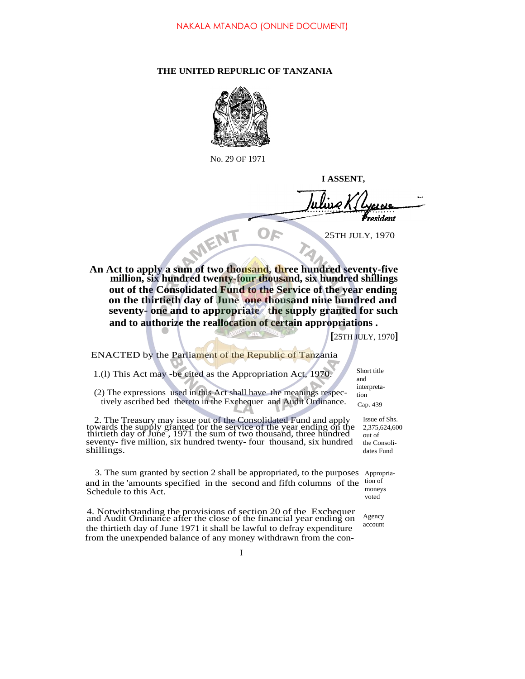## **THE UNITED REPURLIC OF TANZANIA**



No. 29 OF 1971

**I ASSENT,**

resident

25TH JULY, 1970

**An Act to apply a sum of two thousand, three hundred seventy-five million, six hundred twenty-four thousand, six hundred shillings out of the Consolidated Fund to the Service of the year ending on the thirtieth day of June one thousand nine hundred and seventy- one and to appropriate the supply granted for such and to authorize the reallocation of certain appropriations .**

 $\mathbf{D}$ 

**[**25TH JULY, 1970**]**

Short title and interpretation

## ENACTED by the Parliament of the Republic of Tanzania

MENT

1.(l) This Act may -be cited as the Appropriation Act, 1970.

(2) The expressions used in this Act shall have the meanings respectively ascribed bed thereto in the Exchequer and Audit Ordinance. Cap. 439

2. The Treasury may issue out of the Consolidated Fund and apply towards the supply granted for the service of the year ending on the thirtieth day of June , 1971 the sum of two thousand, three hundred seventy- five million, six hundred twenty- four thousand, six hundred shillings.

3. The sum granted by section 2 shall be appropriated, to the purposes Appropriaand in the 'amounts specified in the second and fifth columns of the tion of Schedule to this Act. moneys

4. Notwithstanding the provisions of section 20 of the Exchequer and Audit Ordinance after the close of the financial year ending on the thirtieth day of June 1971 it shall be lawful to defray expenditure from the unexpended balance of any money withdrawn from the con-

Issue of Shs. 2,375,624,600 out of

the Consolidates Fund

voted

Agency account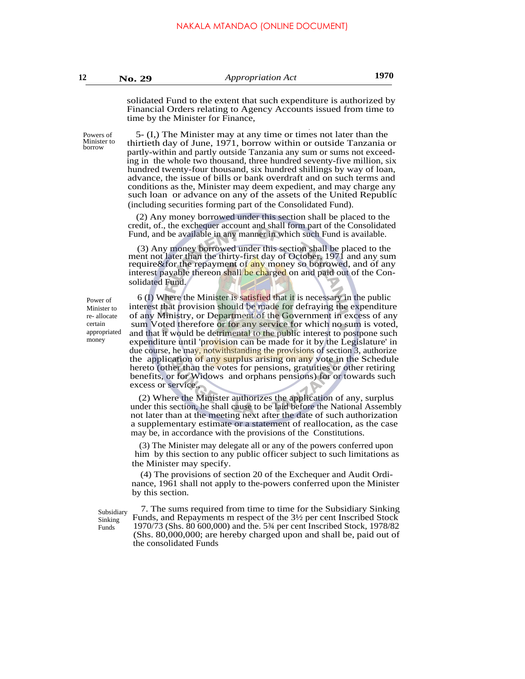solidated Fund to the extent that such expenditure is authorized by Financial Orders relating to Agency Accounts issued from time to time by the Minister for Finance,

.

5- (I,) The Minister may at any time or times not later than the thirtieth day of June, 1971, borrow within or outside Tanzania or partly-within and partly outside Tanzania any sum or sums not exceeding in the whole two thousand, three hundred seventy-five million, six hundred twenty-four thousand, six hundred shillings by way of loan, advance, the issue of bills or bank overdraft and on such terms and conditions as the, Minister may deem expedient, and may charge any such loan or advance on any of the assets of the United Republic (including securities forming part of the Consolidated Fund).

(2) Any money borrowed under this section shall be placed to the credit, of., the exchequer account and shall form part of the Consolidated Fund, and be available in any manner in which such Fund is available.

(3) Any money borrowed under this section shall be placed to the ment not later than the thirty-first day of October, 1971 and any sum require&for the repayment of any money so borrowed, and of any interest payable thereon shall be charged on and paid out of the Consolidated Fund.

Power of Minister to re- allocate certain appropriated money

6 (I) Where the Minister is satisfied that it is necessary in the public interest that provision should be made for defraying the expenditure of any Ministry, or Department of the Government in excess of any sum Voted therefore or for any service for which no sum is voted, and that it would be detrimental to the public interest to postpone such expenditure until 'provision can be made for it by the Legislature' in due course, he may, notwithstanding the provisions of section 3, authorize the application of any surplus arising on any vote in the Schedule hereto (other than the votes for pensions, gratuities or other retiring benefits, or for Widows and orphans pensions) for or towards such excess or service.,

(2) Where the Minister authorizes the application of any, surplus under this section, he shall cause to be laid before the National Assembly not later than at the meeting next after the date of such authorization a supplementary estimate or a statement of reallocation, as the case may be, in accordance with the provisions of the Constitutions.

(3) The Minister may delegate all or any of the powers conferred upon him by this section to any public officer subject to such limitations as the Minister may specify.

(4) The provisions of section 20 of the Exchequer and Audit Ordinance, 1961 shall not apply to the-powers conferred upon the Minister by this section.

Subsidiary Sinking Funds

7. The sums required from time to time for the Subsidiary Sinking Funds, and Repayments m respect of the 3½ per cent Inscribed Stock 1970/73 (Shs. 80 600,000) and the. 5¾ per cent Inscribed Stock, 1978/82 (Shs. 80,000,000; are hereby charged upon and shall be, paid out of the consolidated Funds

Powers of Minister to borrow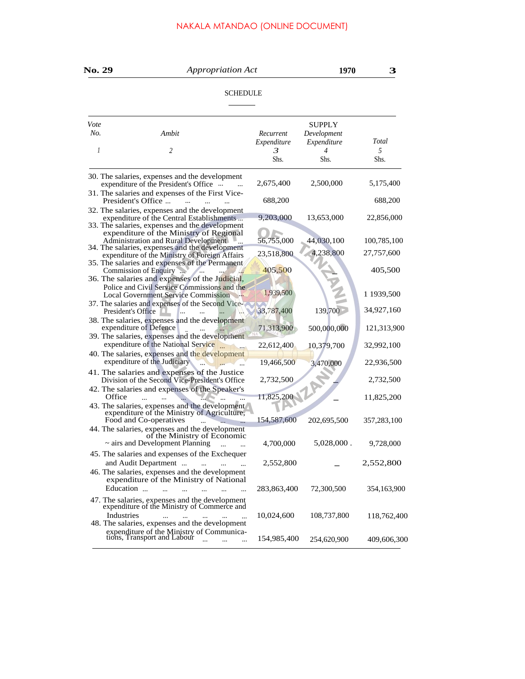## NAKALA MTANDAO (ONLINE DOCUMENT)

| No. 29          |                                                                                                                                                                                            | <i>Appropriation Act</i> |                                             |             |  |  |  |  |  |
|-----------------|--------------------------------------------------------------------------------------------------------------------------------------------------------------------------------------------|--------------------------|---------------------------------------------|-------------|--|--|--|--|--|
| <b>SCHEDULE</b> |                                                                                                                                                                                            |                          |                                             |             |  |  |  |  |  |
| Vote<br>No.     | Ambit                                                                                                                                                                                      | Recurrent<br>Expenditure | <b>SUPPLY</b><br>Development<br>Expenditure | Total       |  |  |  |  |  |
| 1               | 2                                                                                                                                                                                          | 3<br>Shs.                | $\overline{4}$<br>Shs.                      | 5<br>Shs.   |  |  |  |  |  |
|                 | 30. The salaries, expenses and the development<br>expenditure of the President's Office<br>31. The salaries and expenses of the First Vice-                                                | 2,675,400                | 2,500,000                                   | 5,175,400   |  |  |  |  |  |
|                 | President's Office<br>$\dddotsc$                                                                                                                                                           | 688,200                  |                                             | 688,200     |  |  |  |  |  |
|                 | 32. The salaries, expenses and the development<br>expenditure of the Central Establishments<br>33. The salaries, expenses and the development                                              | 9,203,000                | 13,653,000                                  | 22,856,000  |  |  |  |  |  |
|                 | expenditure of the Ministry of Regional<br><b>Administration and Rural Development</b><br>34. The salaries, expenses and the development                                                   | 56,755,000               | 44,030,100                                  | 100,785,100 |  |  |  |  |  |
|                 | expenditure of the Ministry of Foreign Affairs<br>35. The salaries and expenses of the Permanent                                                                                           | 23,518,800               | 4,238,800                                   | 27,757,600  |  |  |  |  |  |
|                 | Commission of Enquiry<br><b>Stationary</b><br>36. The salaries and expenses of the Judicial,                                                                                               | 405,500                  |                                             | 405,500     |  |  |  |  |  |
|                 | Police and Civil Service Commissions and the<br><b>Local Government Service Commission</b>                                                                                                 | 1,939,500                |                                             | 1 1939,500  |  |  |  |  |  |
|                 | 37. The salaries and expenses of the Second Vice-<br>President's Office<br>$\cdots$                                                                                                        | 33,787,400               | 139,700                                     | 34,927,160  |  |  |  |  |  |
|                 | 38. The salaries, expenses and the development<br>expenditure of Defence<br><b>All</b>                                                                                                     | 71,313,900               | 500,000,000                                 | 121,313,900 |  |  |  |  |  |
|                 | 39. The salaries, expenses and the development<br>expenditure of the National Service                                                                                                      | 22,612,400               | 10,379,700                                  | 32,992,100  |  |  |  |  |  |
|                 | 40. The salaries, expenses and the development<br>expenditure of the Judiciary                                                                                                             | 19,466,500               | 3,470,000                                   | 22,936,500  |  |  |  |  |  |
|                 | 41. The salaries and expenses of the Justice<br>Division of the Second Vice-President's Office                                                                                             | 2,732,500                |                                             | 2,732,500   |  |  |  |  |  |
| Office          | 42. The salaries and expenses of the Speaker's<br>43. The salaries, expenses and the development<br>expenditure of the Ministry of Agriculture,                                            | 11,825,200               |                                             | 11,825,200  |  |  |  |  |  |
|                 | Food and Co-operatives<br>44. The salaries, expenses and the development                                                                                                                   | 154,587,600              | 202,695,500                                 | 357,283,100 |  |  |  |  |  |
|                 | of the Ministry of Economic<br>$\sim$ airs and Development Planning                                                                                                                        | 4,700,000                | $5,028,000$ .                               | 9,728,000   |  |  |  |  |  |
|                 | 45. The salaries and expenses of the Exchequer<br>and Audit Department<br>$\ldots$<br>$\sim$ $\sim$                                                                                        | 2,552,800                |                                             | 2,552,800   |  |  |  |  |  |
|                 | 46. The salaries, expenses and the development<br>expenditure of the Ministry of National<br>Education<br>$\mathbf{r}$ and $\mathbf{r}$ and $\mathbf{r}$<br>$\sim$<br>$\sim$ $\sim$ $\sim$ | 283,863,400              | 72,300,500                                  | 354,163,900 |  |  |  |  |  |
|                 | 47. The salaries, expenses and the development<br>expenditure of the Ministry of Commerce and<br>Industries<br>$\cdots$<br>$\cdots$                                                        | 10,024,600               | 108,737,800                                 | 118,762,400 |  |  |  |  |  |
|                 | 48. The salaries, expenses and the development<br>expenditure of the Ministry of Communications, Transport and Labour<br>$\cdots$                                                          | 154,985,400              | 254,620,900                                 | 409,606,300 |  |  |  |  |  |